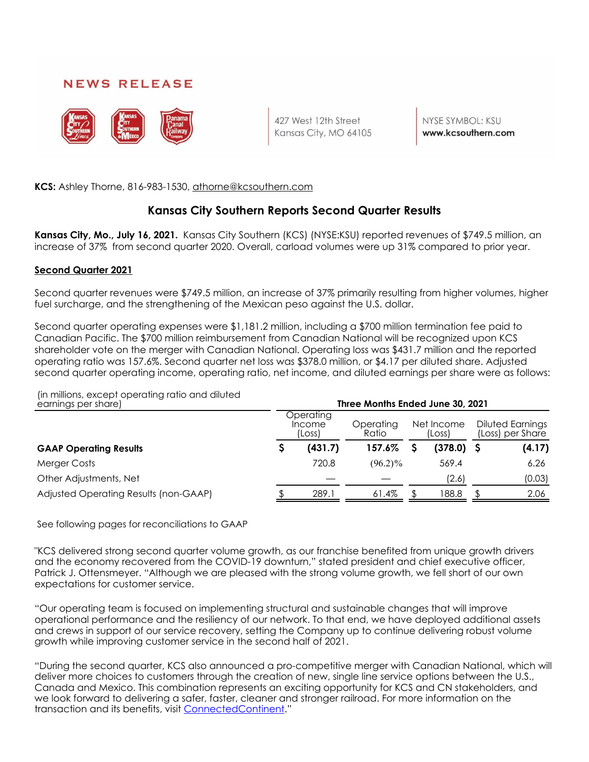## **NEWS RELEASE**



427 West 12th Street Kansas City, MO 64105

NYSE SYMBOL: KSU www.kcsouthern.com

**KCS:** Ashley Thorne, 816-983-1530, athorne@kcsouthern.com

## **Kansas City Southern Reports Second Quarter Results**

**Kansas City, Mo., July 16, 2021.** Kansas City Southern (KCS) (NYSE:KSU) reported revenues of \$749.5 million, an increase of 37% from second quarter 2020. Overall, carload volumes were up 31% compared to prior year.

### **Second Quarter 2021**

Second quarter revenues were \$749.5 million, an increase of 37% primarily resulting from higher volumes, higher fuel surcharge, and the strengthening of the Mexican peso against the U.S. dollar.

Second quarter operating expenses were \$1,181.2 million, including a \$700 million termination fee paid to Canadian Pacific. The \$700 million reimbursement from Canadian National will be recognized upon KCS shareholder vote on the merger with Canadian National. Operating loss was \$431.7 million and the reported operating ratio was 157.6%. Second quarter net loss was \$378.0 million, or \$4.17 per diluted share. Adjusted second quarter operating income, operating ratio, net income, and diluted earnings per share were as follows:

(in millions, except operating ratio and diluted

| earnings per share)                   | Three Months Ended June 30, 2021 |                               |                    |  |                      |                                      |        |  |  |  |
|---------------------------------------|----------------------------------|-------------------------------|--------------------|--|----------------------|--------------------------------------|--------|--|--|--|
|                                       |                                  | Operating<br>Income<br>(Loss) | Operating<br>Ratio |  | Net Income<br>(Loss) | Diluted Earnings<br>(Loss) per Share |        |  |  |  |
| <b>GAAP Operating Results</b>         |                                  | (431.7)                       | 157.6%             |  | $(378.0)$ \$         |                                      | (4.17) |  |  |  |
| Merger Costs                          |                                  | 720.8                         | $(96.2)\%$         |  | 569.4                |                                      | 6.26   |  |  |  |
| Other Adjustments, Net                |                                  |                               |                    |  | (2.6)                |                                      | (0.03) |  |  |  |
| Adjusted Operating Results (non-GAAP) |                                  | 289.1                         | 61.4%              |  | 188.8                |                                      | 2.06   |  |  |  |

See following pages for reconciliations to GAAP

"KCS delivered strong second quarter volume growth, as our franchise benefited from unique growth drivers and the economy recovered from the COVID-19 downturn," stated president and chief executive officer, Patrick J. Ottensmeyer. "Although we are pleased with the strong volume growth, we fell short of our own expectations for customer service.

"Our operating team is focused on implementing structural and sustainable changes that will improve operational performance and the resiliency of our network. To that end, we have deployed additional assets and crews in support of our service recovery, setting the Company up to continue delivering robust volume growth while improving customer service in the second half of 2021.

"During the second quarter, KCS also announced a pro-competitive merger with Canadian National, which will deliver more choices to customers through the creation of new, single line service options between the U.S., Canada and Mexico. This combination represents an exciting opportunity for KCS and CN stakeholders, and we look forward to delivering a safer, faster, cleaner and stronger railroad. For more information on the transaction and its benefits, visit [ConnectedContinent.](https://www.connectedcontinent.com/)"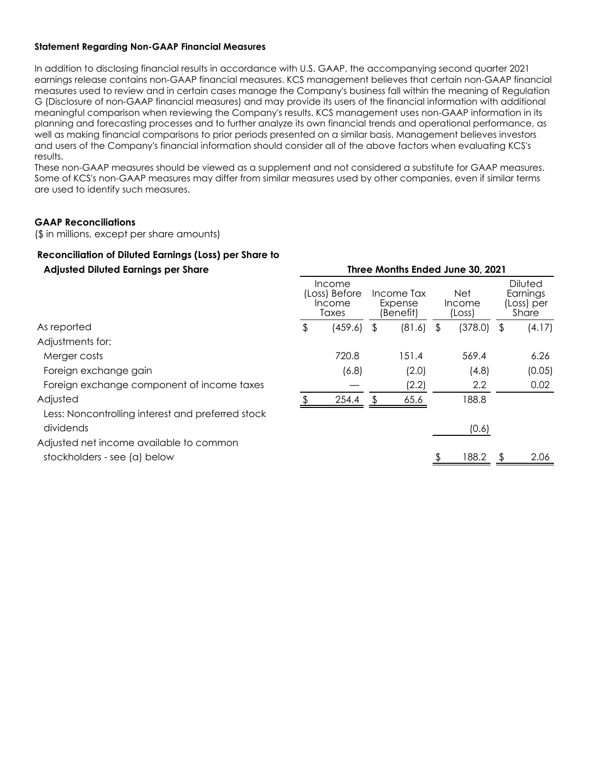### **Statement Regarding Non-GAAP Financial Measures**

In addition to disclosing financial results in accordance with U.S. GAAP, the accompanying second quarter 2021 earnings release contains non-GAAP financial measures. KCS management believes that certain non-GAAP financial measures used to review and in certain cases manage the Company's business fall within the meaning of Regulation G (Disclosure of non-GAAP financial measures) and may provide its users of the financial information with additional meaningful comparison when reviewing the Company's results. KCS management uses non-GAAP information in its planning and forecasting processes and to further analyze its own financial trends and operational performance, as well as making financial comparisons to prior periods presented on a similar basis. Management believes investors and users of the Company's financial information should consider all of the above factors when evaluating KCS's results.

These non-GAAP measures should be viewed as a supplement and not considered a substitute for GAAP measures. Some of KCS's non-GAAP measures may differ from similar measures used by other companies, even if similar terms are used to identify such measures.

### **GAAP Reconciliations**

(\$ in millions, except per share amounts)

## **Reconciliation of Diluted Earnings (Loss) per Share to Adjusted Diluted Earnings per Share Three Months Ended June 30, 2021**

| Income<br>(Loss) Before<br>Income<br>Taxes |         |   |        |                                    | Net<br>(Loss) | <b>Diluted</b><br>Earnings<br>(Loss) per<br>Share |                                  |
|--------------------------------------------|---------|---|--------|------------------------------------|---------------|---------------------------------------------------|----------------------------------|
| \$                                         | (459.6) | S | (81.6) | \$                                 | (378.0)       |                                                   | (4.17)                           |
|                                            |         |   |        |                                    |               |                                                   |                                  |
|                                            | 720.8   |   | 151.4  |                                    | 569.4         |                                                   | 6.26                             |
|                                            | (6.8)   |   | (2.0)  |                                    | (4.8)         |                                                   | (0.05)                           |
|                                            |         |   | (2.2)  |                                    | 2.2           |                                                   | 0.02                             |
|                                            | 254.4   |   | 65.6   |                                    | 188.8         |                                                   |                                  |
|                                            |         |   |        |                                    | (0.6)         |                                                   |                                  |
|                                            |         |   |        |                                    |               |                                                   |                                  |
|                                            |         |   |        |                                    | 188.2         |                                                   | 2.06                             |
|                                            |         |   |        | Income Tax<br>Expense<br>(Benefit) |               | Income                                            | THE CONSTITUTE ENGLATED TO LEVEL |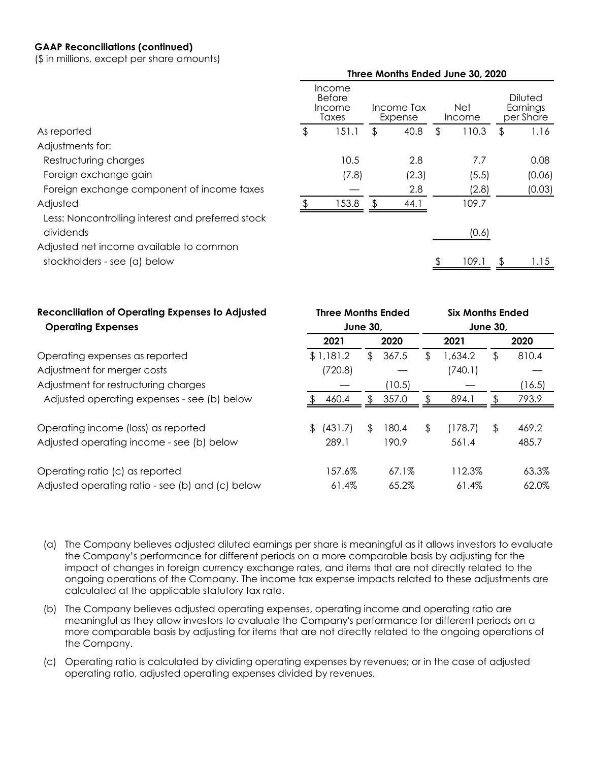### **GAAP Reconciliations (continued)**

(\$ in millions, except per share amounts)

|                                                                |                                     |                       |       |               | Three Months Ended June 30, 2020 |                                  |
|----------------------------------------------------------------|-------------------------------------|-----------------------|-------|---------------|----------------------------------|----------------------------------|
|                                                                | Income<br>Before<br>Income<br>Taxes | Income Tax<br>Expense |       | Net<br>Income |                                  | Diluted<br>Earnings<br>per Share |
| As reported                                                    | \$<br>151.1                         | \$                    | 40.8  | \$            | 110.3                            | \$<br>1.16                       |
| Adjustments for:                                               |                                     |                       |       |               |                                  |                                  |
| Restructuring charges                                          | 10.5                                |                       | 2.8   |               | 7.7                              | 0.08                             |
| Foreign exchange gain                                          | (7.8)                               |                       | (2.3) |               | (5.5)                            | (0.06)                           |
| Foreign exchange component of income taxes                     |                                     |                       | 2.8   |               | (2.8)                            | (0.03)                           |
| Adjusted                                                       | 153.8                               | Æ.                    | 44.1  |               | 109.7                            |                                  |
| Less: Noncontrolling interest and preferred stock<br>dividends |                                     |                       |       |               | (0.6)                            |                                  |
| Adjusted net income available to common                        |                                     |                       |       |               |                                  |                                  |
| stockholders - see (a) below                                   |                                     |                       |       |               | 109.1                            | .15                              |
|                                                                |                                     |                       |       |               |                                  |                                  |

| <b>Reconciliation of Operating Expenses to Adjusted</b> | <b>Three Months Ended</b> |             | <b>Six Months Ended</b> |         |    |        |  |  |
|---------------------------------------------------------|---------------------------|-------------|-------------------------|---------|----|--------|--|--|
| <b>Operating Expenses</b>                               | <b>June 30,</b>           |             | <b>June 30,</b>         |         |    |        |  |  |
|                                                         | 2021                      | 2020        |                         | 2021    |    | 2020   |  |  |
| Operating expenses as reported                          | \$1,181.2                 | \$<br>367.5 | \$                      | 1,634.2 | \$ | 810.4  |  |  |
| Adjustment for merger costs                             | (720.8)                   |             |                         | (740.1) |    |        |  |  |
| Adjustment for restructuring charges                    |                           | (10.5)      |                         |         |    | (16.5) |  |  |
| Adjusted operating expenses - see (b) below             | 460.4                     | \$<br>357.0 |                         | 894.1   | S  | 793.9  |  |  |
| Operating income (loss) as reported                     | (431.7)                   | \$<br>180.4 | \$                      | (178.7) | \$ | 469.2  |  |  |
| Adjusted operating income - see (b) below               | 289.1                     | 190.9       |                         | 561.4   |    | 485.7  |  |  |
| Operating ratio (c) as reported                         | 157.6%                    | 67.1%       |                         | 112.3%  |    | 63.3%  |  |  |
| Adjusted operating ratio - see (b) and (c) below        | 61.4%                     | 65.2%       |                         | 61.4%   |    | 62.0%  |  |  |

- (a) The Company believes adjusted diluted earnings per share is meaningful as it allows investors to evaluate the Company's performance for different periods on a more comparable basis by adjusting for the impact of changes in foreign currency exchange rates, and items that are not directly related to the ongoing operations of the Company. The income tax expense impacts related to these adjustments are calculated at the applicable statutory tax rate.
- (b) The Company believes adjusted operating expenses, operating income and operating ratio are meaningful as they allow investors to evaluate the Company's performance for different periods on a more comparable basis by adjusting for items that are not directly related to the ongoing operations of the Company.
- (c) Operating ratio is calculated by dividing operating expenses by revenues; or in the case of adjusted operating ratio, adjusted operating expenses divided by revenues.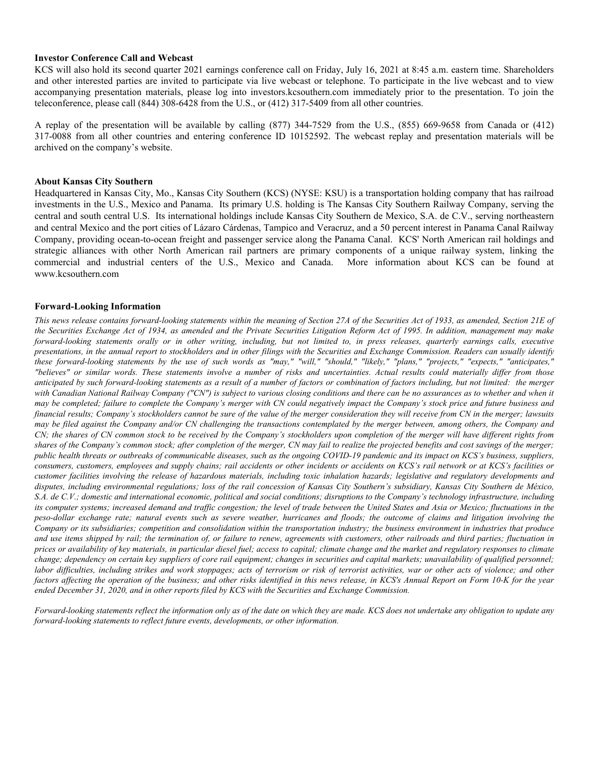#### **Investor Conference Call and Webcast**

KCS will also hold its second quarter 2021 earnings conference call on Friday, July 16, 2021 at 8:45 a.m. eastern time. Shareholders and other interested parties are invited to participate via live webcast or telephone. To participate in the live webcast and to view accompanying presentation materials, please log into investors.kcsouthern.com immediately prior to the presentation. To join the teleconference, please call (844) 308-6428 from the U.S., or (412) 317-5409 from all other countries.

A replay of the presentation will be available by calling (877) 344-7529 from the U.S., (855) 669-9658 from Canada or (412) 317-0088 from all other countries and entering conference ID 10152592. The webcast replay and presentation materials will be archived on the company's website.

#### **About Kansas City Southern**

Headquartered in Kansas City, Mo., Kansas City Southern (KCS) (NYSE: KSU) is a transportation holding company that has railroad investments in the U.S., Mexico and Panama. Its primary U.S. holding is The Kansas City Southern Railway Company, serving the central and south central U.S. Its international holdings include Kansas City Southern de Mexico, S.A. de C.V., serving northeastern and central Mexico and the port cities of Lázaro Cárdenas, Tampico and Veracruz, and a 50 percent interest in Panama Canal Railway Company, providing ocean-to-ocean freight and passenger service along the Panama Canal. KCS' North American rail holdings and strategic alliances with other North American rail partners are primary components of a unique railway system, linking the commercial and industrial centers of the U.S., Mexico and Canada. More information about KCS can be found at www.kcsouthern.com

#### **Forward-Looking Information**

*This news release contains forward-looking statements within the meaning of Section 27A of the Securities Act of 1933, as amended, Section 21E of the Securities Exchange Act of 1934, as amended and the Private Securities Litigation Reform Act of 1995. In addition, management may make forward-looking statements orally or in other writing, including, but not limited to, in press releases, quarterly earnings calls, executive presentations, in the annual report to stockholders and in other filings with the Securities and Exchange Commission. Readers can usually identify these forward-looking statements by the use of such words as "may," "will," "should," "likely," "plans," "projects," "expects," "anticipates," "believes" or similar words. These statements involve a number of risks and uncertainties. Actual results could materially differ from those anticipated by such forward-looking statements as a result of a number of factors or combination of factors including, but not limited: the merger with Canadian National Railway Company ("CN") is subject to various closing conditions and there can be no assurances as to whether and when it may be completed; failure to complete the Company's merger with CN could negatively impact the Company's stock price and future business and financial results; Company's stockholders cannot be sure of the value of the merger consideration they will receive from CN in the merger; lawsuits may be filed against the Company and/or CN challenging the transactions contemplated by the merger between, among others, the Company and CN; the shares of CN common stock to be received by the Company's stockholders upon completion of the merger will have different rights from shares of the Company's common stock; after completion of the merger, CN may fail to realize the projected benefits and cost savings of the merger; public health threats or outbreaks of communicable diseases, such as the ongoing COVID-19 pandemic and its impact on KCS's business, suppliers, consumers, customers, employees and supply chains; rail accidents or other incidents or accidents on KCS's rail network or at KCS's facilities or customer facilities involving the release of hazardous materials, including toxic inhalation hazards; legislative and regulatory developments and disputes, including environmental regulations; loss of the rail concession of Kansas City Southern's subsidiary, Kansas City Southern de México, S.A. de C.V.; domestic and international economic, political and social conditions; disruptions to the Company's technology infrastructure, including*  its computer systems; increased demand and traffic congestion; the level of trade between the United States and Asia or Mexico; fluctuations in the *peso-dollar exchange rate; natural events such as severe weather, hurricanes and floods; the outcome of claims and litigation involving the Company or its subsidiaries; competition and consolidation within the transportation industry; the business environment in industries that produce and use items shipped by rail; the termination of, or failure to renew, agreements with customers, other railroads and third parties; fluctuation in prices or availability of key materials, in particular diesel fuel; access to capital; climate change and the market and regulatory responses to climate change; dependency on certain key suppliers of core rail equipment; changes in securities and capital markets; unavailability of qualified personnel; labor difficulties, including strikes and work stoppages; acts of terrorism or risk of terrorist activities, war or other acts of violence; and other factors affecting the operation of the business; and other risks identified in this news release, in KCS's Annual Report on Form 10-K for the year ended December 31, 2020, and in other reports filed by KCS with the Securities and Exchange Commission.*

*Forward-looking statements reflect the information only as of the date on which they are made. KCS does not undertake any obligation to update any forward-looking statements to reflect future events, developments, or other information.*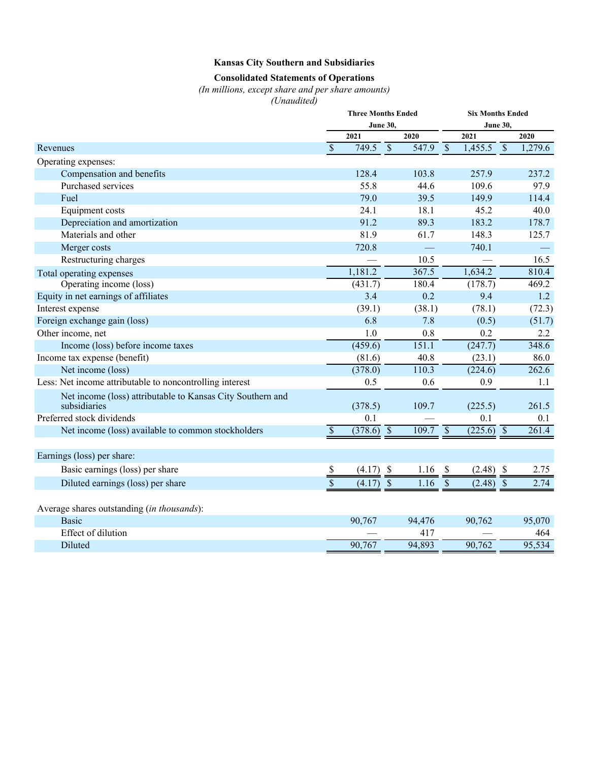## **Kansas City Southern and Subsidiaries**

# **Consolidated Statements of Operations**

*(In millions, except share and per share amounts)*

*(Unaudited)*

|                                                                            |                                    | <b>Three Months Ended</b> |                           |            | <b>Six Months Ended</b>  |                         |                          |         |  |
|----------------------------------------------------------------------------|------------------------------------|---------------------------|---------------------------|------------|--------------------------|-------------------------|--------------------------|---------|--|
|                                                                            | <b>June 30,</b><br><b>June 30,</b> |                           |                           |            |                          |                         |                          |         |  |
|                                                                            |                                    | 2021                      |                           | 2020       |                          | 2021                    |                          | 2020    |  |
| Revenues                                                                   | $\overline{\mathcal{S}}$           | 749.5                     | $\overline{\mathcal{S}}$  | 547.9      | $\overline{\mathcal{S}}$ | 1,455.5                 | $\overline{\mathcal{S}}$ | 1,279.6 |  |
| Operating expenses:                                                        |                                    |                           |                           |            |                          |                         |                          |         |  |
| Compensation and benefits                                                  |                                    | 128.4                     |                           | 103.8      |                          | 257.9                   |                          | 237.2   |  |
| Purchased services                                                         |                                    | 55.8                      |                           | 44.6       |                          | 109.6                   |                          | 97.9    |  |
| Fuel                                                                       |                                    | 79.0                      |                           | 39.5       |                          | 149.9                   |                          | 114.4   |  |
| Equipment costs                                                            |                                    | 24.1                      |                           | 18.1       |                          | 45.2                    |                          | 40.0    |  |
| Depreciation and amortization                                              |                                    | 91.2                      |                           | 89.3       |                          | 183.2                   |                          | 178.7   |  |
| Materials and other                                                        |                                    | 81.9                      |                           | 61.7       |                          | 148.3                   |                          | 125.7   |  |
| Merger costs                                                               |                                    | 720.8                     |                           | <u>e a</u> |                          | 740.1                   |                          |         |  |
| Restructuring charges                                                      |                                    |                           |                           | 10.5       |                          |                         |                          | 16.5    |  |
| Total operating expenses                                                   |                                    | 1,181.2                   |                           | 367.5      |                          | 1,634.2                 |                          | 810.4   |  |
| Operating income (loss)                                                    |                                    | (431.7)                   |                           | 180.4      |                          | (178.7)                 |                          | 469.2   |  |
| Equity in net earnings of affiliates                                       |                                    | 3.4                       |                           | 0.2        |                          | 9.4                     |                          | 1.2     |  |
| Interest expense                                                           |                                    | (39.1)                    |                           | (38.1)     |                          | (78.1)                  |                          | (72.3)  |  |
| Foreign exchange gain (loss)                                               |                                    | 6.8                       |                           | 7.8        |                          | (0.5)                   |                          | (51.7)  |  |
| Other income, net                                                          |                                    | 1.0                       |                           | 0.8        |                          | 0.2                     |                          | 2.2     |  |
| Income (loss) before income taxes                                          |                                    | (459.6)                   |                           | 151.1      |                          | (247.7)                 |                          | 348.6   |  |
| Income tax expense (benefit)                                               |                                    | (81.6)                    |                           | 40.8       |                          | (23.1)                  |                          | 86.0    |  |
| Net income (loss)                                                          |                                    | (378.0)                   |                           | 110.3      |                          | (224.6)                 |                          | 262.6   |  |
| Less: Net income attributable to noncontrolling interest                   |                                    | 0.5                       |                           | 0.6        |                          | 0.9                     |                          | 1.1     |  |
| Net income (loss) attributable to Kansas City Southern and<br>subsidiaries |                                    | (378.5)                   |                           | 109.7      |                          | (225.5)                 |                          | 261.5   |  |
| Preferred stock dividends                                                  |                                    | 0.1                       |                           |            |                          | 0.1                     |                          | 0.1     |  |
| Net income (loss) available to common stockholders                         | $\boldsymbol{\mathsf{S}}$          | $\overline{(378.6)}$ \$   |                           | 109.7      | $\overline{\mathcal{S}}$ | $\overline{(225.6)}$ \$ |                          | 261.4   |  |
|                                                                            |                                    |                           |                           |            |                          |                         |                          |         |  |
| Earnings (loss) per share:                                                 |                                    |                           |                           |            |                          |                         |                          |         |  |
| Basic earnings (loss) per share                                            |                                    | (4.17)                    | $\boldsymbol{\mathsf{S}}$ | 1.16       | \$                       | (2.48)                  | $\mathbb{S}$             | 2.75    |  |
| Diluted earnings (loss) per share                                          | $rac{s}{s}$                        | (4.17)                    | $\sqrt{\frac{2}{\pi}}$    | 1.16       | $\mathsf{\$}$            | (2.48)                  | $\overline{\$}$          | 2.74    |  |
| Average shares outstanding (in thousands):                                 |                                    |                           |                           |            |                          |                         |                          |         |  |
| <b>Basic</b>                                                               |                                    | 90,767                    |                           | 94,476     |                          | 90,762                  |                          | 95,070  |  |
| Effect of dilution                                                         |                                    |                           |                           | 417        |                          |                         |                          | 464     |  |
| Diluted                                                                    |                                    | 90,767                    |                           | 94,893     |                          | 90,762                  |                          | 95,534  |  |
|                                                                            |                                    |                           |                           |            |                          |                         |                          |         |  |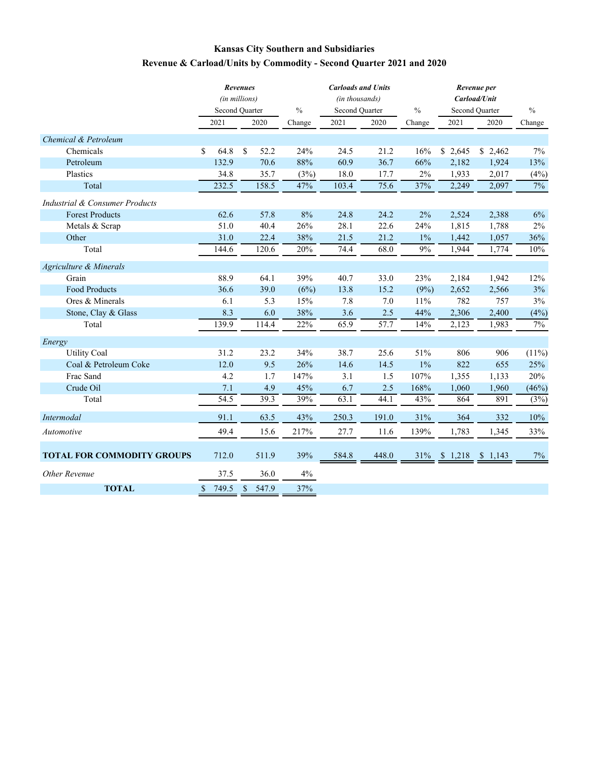# **Kansas City Southern and Subsidiaries Revenue & Carload/Units by Commodity - Second Quarter 2021 and 2020**

|                                           |            | <b>Revenues</b> |               |       | <b>Carloads and Units</b> |               | Revenue per              |                |               |  |
|-------------------------------------------|------------|-----------------|---------------|-------|---------------------------|---------------|--------------------------|----------------|---------------|--|
|                                           |            | (in millions)   |               |       | (in thousands)            |               | Carload/Unit             |                |               |  |
|                                           |            | Second Quarter  | $\frac{0}{0}$ |       | Second Quarter            | $\frac{0}{0}$ |                          | Second Ouarter | $\frac{0}{0}$ |  |
|                                           | 2021       | 2020            | Change        | 2021  | 2020                      | Change        | 2021                     | 2020           | Change        |  |
| Chemical & Petroleum                      |            |                 |               |       |                           |               |                          |                |               |  |
| Chemicals                                 | \$<br>64.8 | \$<br>52.2      | 24%           | 24.5  | 21.2                      | 16%           | \$2,645                  | 2,462<br>\$    | 7%            |  |
| Petroleum                                 | 132.9      | 70.6            | 88%           | 60.9  | 36.7                      | 66%           | 2,182                    | 1,924          | 13%           |  |
| Plastics                                  | 34.8       | 35.7            | (3%)          | 18.0  | 17.7                      | 2%            | 1,933                    | 2,017          | (4%)          |  |
| Total                                     | 232.5      | 158.5           | 47%           | 103.4 | 75.6                      | 37%           | 2,249                    | 2,097          | 7%            |  |
| <b>Industrial &amp; Consumer Products</b> |            |                 |               |       |                           |               |                          |                |               |  |
| <b>Forest Products</b>                    | 62.6       | 57.8            | 8%            | 24.8  | 24.2                      | 2%            | 2,524                    | 2,388          | 6%            |  |
| Metals & Scrap                            | 51.0       | 40.4            | 26%           | 28.1  | 22.6                      | 24%           | 1,815                    | 1,788          | $2\%$         |  |
| Other                                     | 31.0       | 22.4            | 38%           | 21.5  | 21.2                      | $1\%$         | 1,442                    | 1,057          | 36%           |  |
| Total                                     | 144.6      | 120.6           | 20%           | 74.4  | 68.0                      | 9%            | 1,944                    | 1,774          | 10%           |  |
| Agriculture & Minerals                    |            |                 |               |       |                           |               |                          |                |               |  |
| Grain                                     | 88.9       | 64.1            | 39%           | 40.7  | 33.0                      | 23%           | 2,184                    | 1,942          | 12%           |  |
| Food Products                             | 36.6       | 39.0            | (6%)          | 13.8  | 15.2                      | (9%)          | 2,652                    | 2,566          | $3\%$         |  |
| Ores & Minerals                           | 6.1        |                 | 5.3<br>15%    | 7.8   | 7.0                       | 11%           | 782                      | 757            | 3%            |  |
| Stone, Clay & Glass                       | 8.3        |                 | 6.0<br>38%    | 3.6   | 2.5                       | 44%           | 2,306                    | 2,400          | (4%)          |  |
| Total                                     | 139.9      | 114.4           | 22%           | 65.9  | 57.7                      | 14%           | 2,123                    | 1,983          | 7%            |  |
| Energy                                    |            |                 |               |       |                           |               |                          |                |               |  |
| <b>Utility Coal</b>                       | 31.2       | 23.2            | 34%           | 38.7  | 25.6                      | 51%           | 806                      | 906            | (11%)         |  |
| Coal & Petroleum Coke                     | 12.0       |                 | 9.5<br>26%    | 14.6  | 14.5                      | $1\%$         | 822                      | 655            | 25%           |  |
| Frac Sand                                 | 4.2        |                 | 1.7<br>147%   | 3.1   | 1.5                       | 107%          | 1,355                    | 1,133          | 20%           |  |
| Crude Oil                                 | 7.1        |                 | 4.9<br>45%    | 6.7   | 2.5                       | 168%          | 1,060                    | 1,960          | (46%)         |  |
| Total                                     | 54.5       | 39.3            | 39%           | 63.1  | 44.1                      | 43%           | 864                      | 891            | (3%)          |  |
| <b>Intermodal</b>                         | 91.1       | 63.5            | 43%           | 250.3 | 191.0                     | 31%           | 364                      | 332            | 10%           |  |
| Automotive                                | 49.4       | 15.6            | 217%          | 27.7  | 11.6                      | 139%          | 1,783                    | 1,345          | 33%           |  |
| <b>TOTAL FOR COMMODITY GROUPS</b>         | 712.0      | 511.9           | 39%           | 584.8 | 448.0                     |               | $31\%$ \$ 1,218 \$ 1,143 |                | 7%            |  |
| Other Revenue                             | 37.5       | 36.0            | $4\%$         |       |                           |               |                          |                |               |  |
| <b>TOTAL</b>                              | 749.5<br>S | \$<br>547.9     | 37%           |       |                           |               |                          |                |               |  |